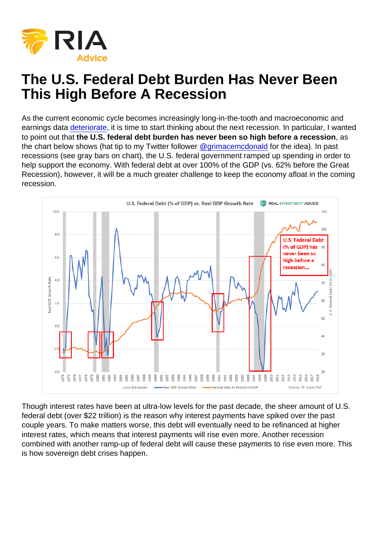As the current economic cycle becomes increasingly long-in-the-tooth and macroeconomic and earnings data [deteriorate](https://www.cnbc.com/2019/02/26/this-chart-shows-how-2019s-monster-stock-market-comeback-is-not-driven-by-fundamentals.html), it is time to start thinking about the next recession. In particular, I wanted to point out that the U.S. federal debt burden has never been so high before a recession as the chart below shows (hat tip to my Twitter follower  $@grimacemcdonal$  for the idea). In past recessions (see gray bars on chart), the U.S. federal government ramped up spending in order to help support the economy. With federal debt at over 100% of the GDP (vs. 62% before the Great Recession), however, it will be a much greater challenge to keep the economy afloat in the coming recession.

Though interest rates have been at ultra-low levels for the past decade, the sheer amount of U.S. federal debt (over \$22 trillion) is the reason why interest payments have spiked over the past couple years. To make matters worse, this debt will eventually need to be refinanced at higher interest rates, which means that interest payments will rise even more. Another recession combined with another ramp-up of federal debt will cause these payments to rise even more. This is how sovereign debt crises happen.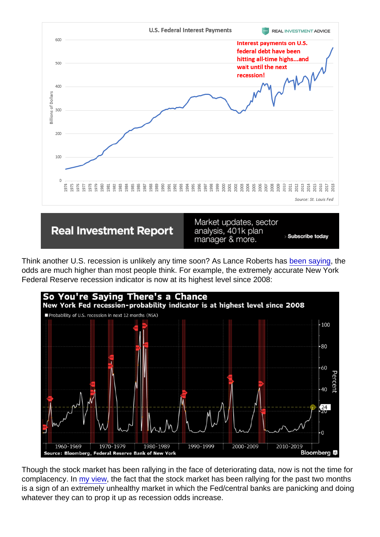Think another U.S. recession is unlikely any time soon? As Lance Roberts has [been saying](https://realinvestmentadvice.com/recession-risks-are-likely-higher-than-you-think/), the odds are much higher than most people think. For example, the extremely accurate New York Federal Reserve recession indicator is now at its highest level since 2008:

Though the stock market has been rallying in the face of deteriorating data, now is not the time for complacency. In [my view](https://twitter.com/TheBubbleBubble/status/1102977213966811137), the fact that the stock market has been rallying for the past two months is a sign of an extremely unhealthy market in which the Fed/central banks are panicking and doing whatever they can to prop it up as recession odds increase.